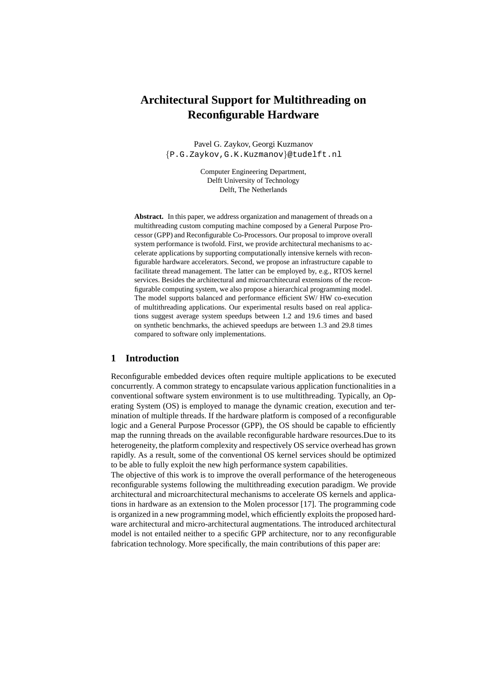# **Architectural Support for Multithreading on Reconfigurable Hardware**

Pavel G. Zaykov, Georgi Kuzmanov {P.G.Zaykov,G.K.Kuzmanov}@tudelft.nl

> Computer Engineering Department, Delft University of Technology Delft, The Netherlands

**Abstract.** In this paper, we address organization and management of threads on a multithreading custom computing machine composed by a General Purpose Processor (GPP) and Reconfigurable Co-Processors. Our proposal to improve overall system performance is twofold. First, we provide architectural mechanisms to accelerate applications by supporting computationally intensive kernels with reconfigurable hardware accelerators. Second, we propose an infrastructure capable to facilitate thread management. The latter can be employed by, e.g., RTOS kernel services. Besides the architectural and microarchitecural extensions of the reconfigurable computing system, we also propose a hierarchical programming model. The model supports balanced and performance efficient SW/ HW co-execution of multithreading applications. Our experimental results based on real applications suggest average system speedups between 1.2 and 19.6 times and based on synthetic benchmarks, the achieved speedups are between 1.3 and 29.8 times compared to software only implementations.

#### **1 Introduction**

Reconfigurable embedded devices often require multiple applications to be executed concurrently. A common strategy to encapsulate various application functionalities in a conventional software system environment is to use multithreading. Typically, an Operating System (OS) is employed to manage the dynamic creation, execution and termination of multiple threads. If the hardware platform is composed of a reconfigurable logic and a General Purpose Processor (GPP), the OS should be capable to efficiently map the running threads on the available reconfigurable hardware resources.Due to its heterogeneity, the platform complexity and respectively OS service overhead has grown rapidly. As a result, some of the conventional OS kernel services should be optimized to be able to fully exploit the new high performance system capabilities.

The objective of this work is to improve the overall performance of the heterogeneous reconfigurable systems following the multithreading execution paradigm. We provide architectural and microarchitectural mechanisms to accelerate OS kernels and applications in hardware as an extension to the Molen processor [17]. The programming code is organized in a new programming model, which efficiently exploits the proposed hardware architectural and micro-architectural augmentations. The introduced architectural model is not entailed neither to a specific GPP architecture, nor to any reconfigurable fabrication technology. More specifically, the main contributions of this paper are: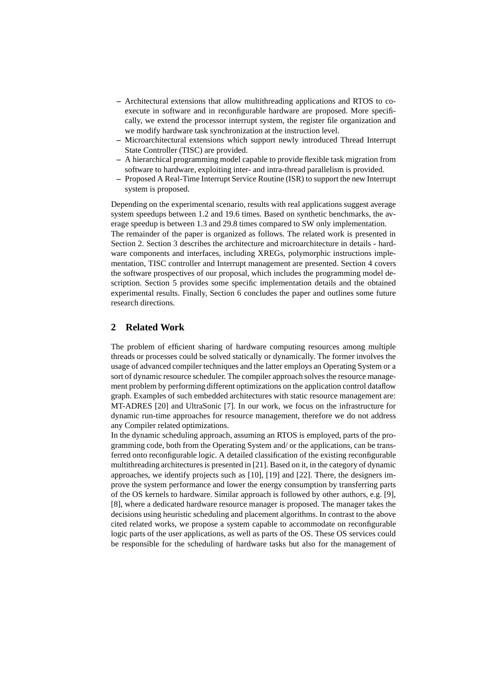- **–** Architectural extensions that allow multithreading applications and RTOS to coexecute in software and in reconfigurable hardware are proposed. More specifically, we extend the processor interrupt system, the register file organization and we modify hardware task synchronization at the instruction level.
- **–** Microarchitectural extensions which support newly introduced Thread Interrupt State Controller (TISC) are provided.
- **–** A hierarchical programming model capable to provide flexible task migration from software to hardware, exploiting inter- and intra-thread parallelism is provided.
- **–** Proposed A Real-Time Interrupt Service Routine (ISR) to support the new Interrupt system is proposed.

Depending on the experimental scenario, results with real applications suggest average system speedups between 1.2 and 19.6 times. Based on synthetic benchmarks, the average speedup is between 1.3 and 29.8 times compared to SW only implementation. The remainder of the paper is organized as follows. The related work is presented in Section 2. Section 3 describes the architecture and microarchitecture in details - hardware components and interfaces, including XREGs, polymorphic instructions implementation, TISC controller and Interrupt management are presented. Section 4 covers the software prospectives of our proposal, which includes the programming model description. Section 5 provides some specific implementation details and the obtained experimental results. Finally, Section 6 concludes the paper and outlines some future research directions.

# **2 Related Work**

The problem of efficient sharing of hardware computing resources among multiple threads or processes could be solved statically or dynamically. The former involves the usage of advanced compiler techniques and the latter employs an Operating System or a sort of dynamic resource scheduler. The compiler approach solves the resource management problem by performing different optimizations on the application control dataflow graph. Examples of such embedded architectures with static resource management are: MT-ADRES [20] and UltraSonic [7]. In our work, we focus on the infrastructure for dynamic run-time approaches for resource management, therefore we do not address any Compiler related optimizations.

In the dynamic scheduling approach, assuming an RTOS is employed, parts of the programming code, both from the Operating System and/ or the applications, can be transferred onto reconfigurable logic. A detailed classification of the existing reconfigurable multithreading architectures is presented in [21]. Based on it, in the category of dynamic approaches, we identify projects such as [10], [19] and [22]. There, the designers improve the system performance and lower the energy consumption by transferring parts of the OS kernels to hardware. Similar approach is followed by other authors, e.g. [9], [8], where a dedicated hardware resource manager is proposed. The manager takes the decisions using heuristic scheduling and placement algorithms. In contrast to the above cited related works, we propose a system capable to accommodate on reconfigurable logic parts of the user applications, as well as parts of the OS. These OS services could be responsible for the scheduling of hardware tasks but also for the management of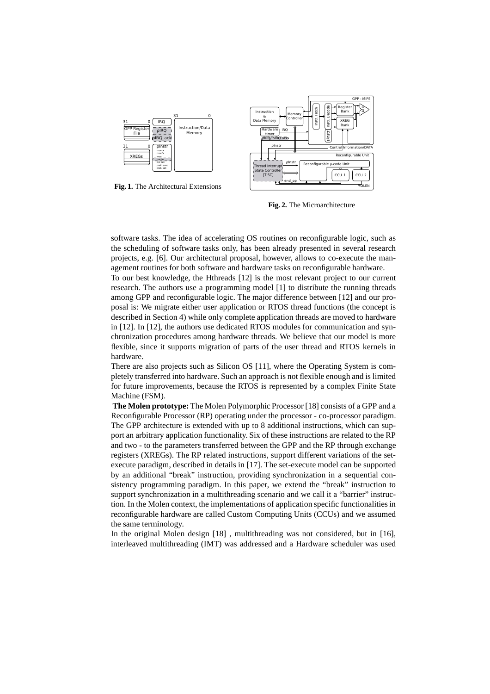

**Fig. 1.** The Architectural Extensions



**Fig. 2.** The Microarchitecture

software tasks. The idea of accelerating OS routines on reconfigurable logic, such as the scheduling of software tasks only, has been already presented in several research projects, e.g. [6]. Our architectural proposal, however, allows to co-execute the management routines for both software and hardware tasks on reconfigurable hardware.

To our best knowledge, the Hthreads [12] is the most relevant project to our current research. The authors use a programming model [1] to distribute the running threads among GPP and reconfigurable logic. The major difference between [12] and our proposal is: We migrate either user application or RTOS thread functions (the concept is described in Section 4) while only complete application threads are moved to hardware in [12]. In [12], the authors use dedicated RTOS modules for communication and synchronization procedures among hardware threads. We believe that our model is more flexible, since it supports migration of parts of the user thread and RTOS kernels in hardware.

There are also projects such as Silicon OS [11], where the Operating System is completely transferred into hardware. Such an approach is not flexible enough and is limited for future improvements, because the RTOS is represented by a complex Finite State Machine (FSM).

**The Molen prototype:** The Molen Polymorphic Processor [18] consists of a GPP and a Reconfigurable Processor (RP) operating under the processor - co-processor paradigm. The GPP architecture is extended with up to 8 additional instructions, which can support an arbitrary application functionality. Six of these instructions are related to the RP and two - to the parameters transferred between the GPP and the RP through exchange registers (XREGs). The RP related instructions, support different variations of the setexecute paradigm, described in details in [17]. The set-execute model can be supported by an additional "break" instruction, providing synchronization in a sequential consistency programming paradigm. In this paper, we extend the "break" instruction to support synchronization in a multithreading scenario and we call it a "barrier" instruction. In the Molen context, the implementations of application specific functionalities in reconfigurable hardware are called Custom Computing Units (CCUs) and we assumed the same terminology.

In the original Molen design [18] , multithreading was not considered, but in [16], interleaved multithreading (IMT) was addressed and a Hardware scheduler was used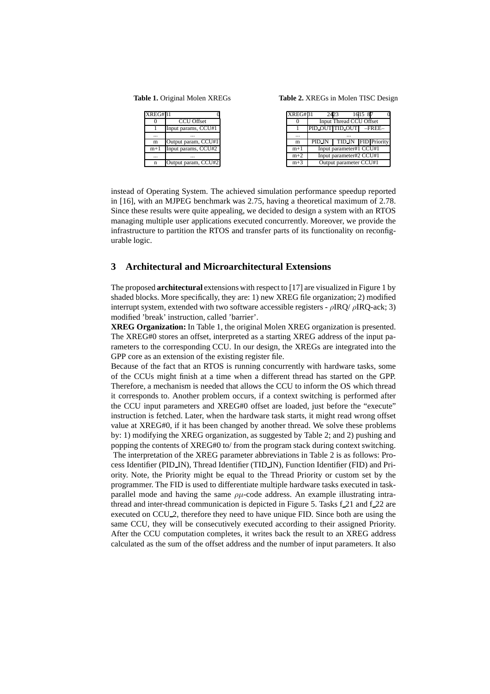**Table 1.** Original Molen XREGs

**Table 2.** XREGs in Molen TISC Design

| <b>XREG#31</b> |                     | XREG#31  | 2423                    |                                | 1615 |          |
|----------------|---------------------|----------|-------------------------|--------------------------------|------|----------|
|                | <b>CCU Offset</b>   |          |                         | <b>Input Thread CCU Offset</b> |      |          |
|                | Input params, CCU#1 |          |                         | PID OUT TID OUT                |      | $-FREE-$ |
| $\cdots$       | $\cdots$            | $\cdots$ |                         | $\cdots$                       |      |          |
| m              | Output param, CCU#1 | m        | PID_IN                  | TID IN FID Priority            |      |          |
| $m+1$          | Input params, CCU#2 | $m+1$    | Input parameter#1 CCU#1 |                                |      |          |
| $\cdots$       | $\cdots$            | $m+2$    | Input parameter#2 CCU#1 |                                |      |          |
| $\mathbf n$    | Output param, CCU#2 | $m+3$    | Output parameter CCU#1  |                                |      |          |

instead of Operating System. The achieved simulation performance speedup reported in [16], with an MJPEG benchmark was 2.75, having a theoretical maximum of 2.78. Since these results were quite appealing, we decided to design a system with an RTOS managing multiple user applications executed concurrently. Moreover, we provide the infrastructure to partition the RTOS and transfer parts of its functionality on reconfigurable logic.

# **3 Architectural and Microarchitectural Extensions**

The proposed **architectural** extensions with respect to [17] are visualized in Figure 1 by shaded blocks. More specifically, they are: 1) new XREG file organization; 2) modified interrupt system, extended with two software accessible registers -  $\rho$ IRQ/ $\rho$ IRQ-ack; 3) modified 'break' instruction, called 'barrier'.

**XREG Organization:** In Table 1, the original Molen XREG organization is presented. The XREG#0 stores an offset, interpreted as a starting XREG address of the input parameters to the corresponding CCU. In our design, the XREGs are integrated into the GPP core as an extension of the existing register file.

Because of the fact that an RTOS is running concurrently with hardware tasks, some of the CCUs might finish at a time when a different thread has started on the GPP. Therefore, a mechanism is needed that allows the CCU to inform the OS which thread it corresponds to. Another problem occurs, if a context switching is performed after the CCU input parameters and XREG#0 offset are loaded, just before the "execute" instruction is fetched. Later, when the hardware task starts, it might read wrong offset value at XREG#0, if it has been changed by another thread. We solve these problems by: 1) modifying the XREG organization, as suggested by Table 2; and 2) pushing and popping the contents of XREG#0 to/ from the program stack during context switching. The interpretation of the XREG parameter abbreviations in Table 2 is as follows: Process Identifier (PID IN), Thread Identifier (TID IN), Function Identifier (FID) and Priority. Note, the Priority might be equal to the Thread Priority or custom set by the

programmer. The FID is used to differentiate multiple hardware tasks executed in taskparallel mode and having the same  $\rho\mu$ -code address. An example illustrating intrathread and inter-thread communication is depicted in Figure 5. Tasks f 21 and f 22 are executed on CCU<sub>-2</sub>, therefore they need to have unique FID. Since both are using the same CCU, they will be consecutively executed according to their assigned Priority. After the CCU computation completes, it writes back the result to an XREG address calculated as the sum of the offset address and the number of input parameters. It also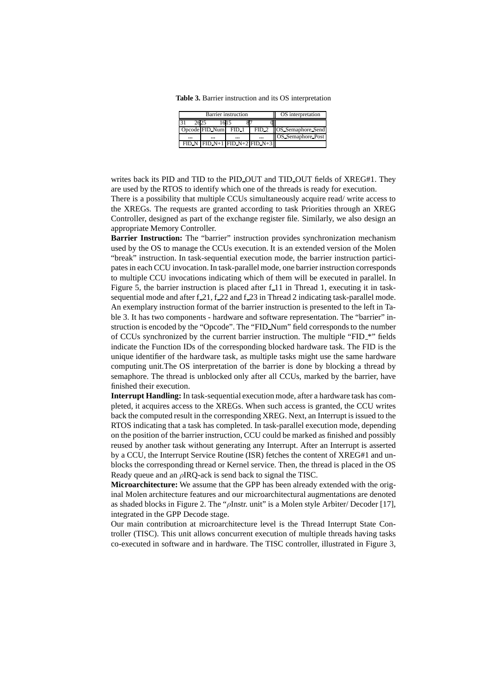**Table 3.** Barrier instruction and its OS interpretation

|           | Barrier instruction                   | OS interpretation |          |                          |
|-----------|---------------------------------------|-------------------|----------|--------------------------|
|           |                                       |                   |          |                          |
|           | Opcode FID Num                        | FID 1             | $FID_2$  | <b>OS</b> Semaphore Send |
| $\ddotsc$ |                                       |                   | $\cdots$ | OS Semaphore Post        |
|           | $FID_N$ $FID_N+1$ $FID_N+2$ $FID_N+3$ |                   |          |                          |

writes back its PID and TID to the PID<sub>-OUT</sub> and TID<sub>-OUT</sub> fields of XREG#1. They are used by the RTOS to identify which one of the threads is ready for execution.

There is a possibility that multiple CCUs simultaneously acquire read/ write access to the XREGs. The requests are granted according to task Priorities through an XREG Controller, designed as part of the exchange register file. Similarly, we also design an appropriate Memory Controller.

**Barrier Instruction:** The "barrier" instruction provides synchronization mechanism used by the OS to manage the CCUs execution. It is an extended version of the Molen "break" instruction. In task-sequential execution mode, the barrier instruction participates in each CCU invocation. In task-parallel mode, one barrier instruction corresponds to multiple CCU invocations indicating which of them will be executed in parallel. In Figure 5, the barrier instruction is placed after f<sub>11</sub> in Thread 1, executing it in tasksequential mode and after f\_21, f\_22 and f\_23 in Thread 2 indicating task-parallel mode. An exemplary instruction format of the barrier instruction is presented to the left in Table 3. It has two components - hardware and software representation. The "barrier" instruction is encoded by the "Opcode". The "FID Num" field corresponds to the number of CCUs synchronized by the current barrier instruction. The multiple "FID \*" fields indicate the Function IDs of the corresponding blocked hardware task. The FID is the unique identifier of the hardware task, as multiple tasks might use the same hardware computing unit.The OS interpretation of the barrier is done by blocking a thread by semaphore. The thread is unblocked only after all CCUs, marked by the barrier, have finished their execution.

**Interrupt Handling:** In task-sequential execution mode, after a hardware task has completed, it acquires access to the XREGs. When such access is granted, the CCU writes back the computed result in the corresponding XREG. Next, an Interrupt is issued to the RTOS indicating that a task has completed. In task-parallel execution mode, depending on the position of the barrier instruction, CCU could be marked as finished and possibly reused by another task without generating any Interrupt. After an Interrupt is asserted by a CCU, the Interrupt Service Routine (ISR) fetches the content of XREG#1 and unblocks the corresponding thread or Kernel service. Then, the thread is placed in the OS Ready queue and an  $\rho$ IRQ-ack is send back to signal the TISC.

**Microarchitecture:** We assume that the GPP has been already extended with the original Molen architecture features and our microarchitectural augmentations are denoted as shaded blocks in Figure 2. The " $\rho$ Instr. unit" is a Molen style Arbiter/ Decoder [17], integrated in the GPP Decode stage.

Our main contribution at microarchitecture level is the Thread Interrupt State Controller (TISC). This unit allows concurrent execution of multiple threads having tasks co-executed in software and in hardware. The TISC controller, illustrated in Figure 3,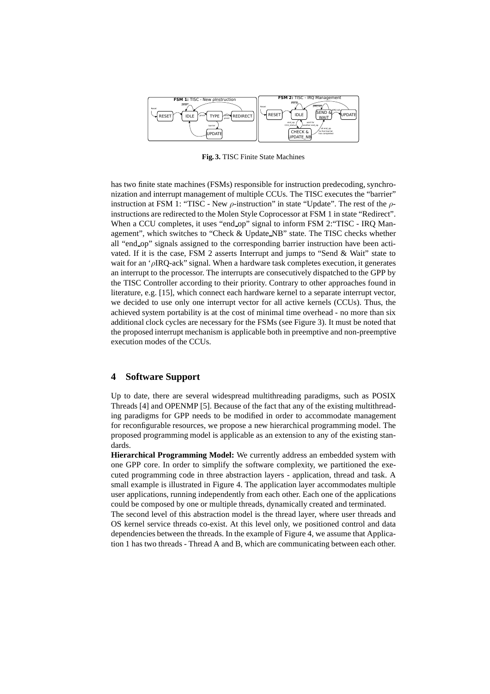

**Fig. 3.** TISC Finite State Machines

has two finite state machines (FSMs) responsible for instruction predecoding, synchronization and interrupt management of multiple CCUs. The TISC executes the "barrier" instruction at FSM 1: "TISC - New  $\rho$ -instruction" in state "Update". The rest of the  $\rho$ instructions are redirected to the Molen Style Coprocessor at FSM 1 in state "Redirect". When a CCU completes, it uses "end op" signal to inform FSM 2: "TISC - IRQ Management", which switches to "Check & Update NB" state. The TISC checks whether all "end op" signals assigned to the corresponding barrier instruction have been activated. If it is the case, FSM 2 asserts Interrupt and jumps to "Send & Wait" state to wait for an ' $\rho$ IRQ-ack'' signal. When a hardware task completes execution, it generates an interrupt to the processor. The interrupts are consecutively dispatched to the GPP by the TISC Controller according to their priority. Contrary to other approaches found in literature, e.g. [15], which connect each hardware kernel to a separate interrupt vector, we decided to use only one interrupt vector for all active kernels (CCUs). Thus, the achieved system portability is at the cost of minimal time overhead - no more than six additional clock cycles are necessary for the FSMs (see Figure 3). It must be noted that the proposed interrupt mechanism is applicable both in preemptive and non-preemptive execution modes of the CCUs.

#### **4 Software Support**

Up to date, there are several widespread multithreading paradigms, such as POSIX Threads [4] and OPENMP [5]. Because of the fact that any of the existing multithreading paradigms for GPP needs to be modified in order to accommodate management for reconfigurable resources, we propose a new hierarchical programming model. The proposed programming model is applicable as an extension to any of the existing standards.

**Hierarchical Programming Model:** We currently address an embedded system with one GPP core. In order to simplify the software complexity, we partitioned the executed programming code in three abstraction layers - application, thread and task. A small example is illustrated in Figure 4. The application layer accommodates multiple user applications, running independently from each other. Each one of the applications could be composed by one or multiple threads, dynamically created and terminated.

The second level of this abstraction model is the thread layer, where user threads and OS kernel service threads co-exist. At this level only, we positioned control and data dependencies between the threads. In the example of Figure 4, we assume that Application 1 has two threads - Thread A and B, which are communicating between each other.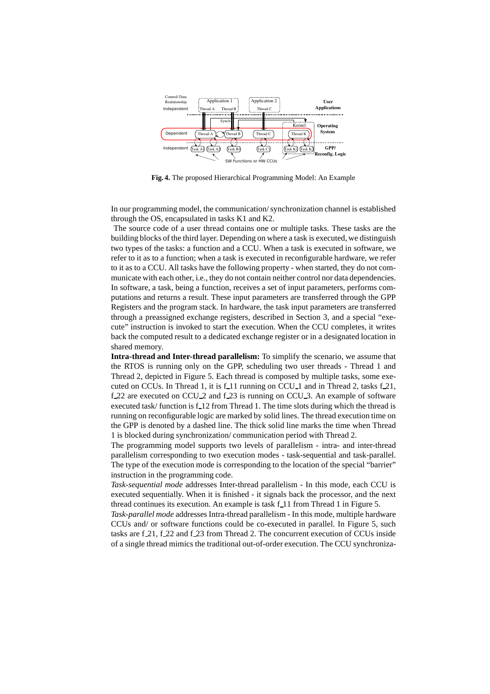

**Fig. 4.** The proposed Hierarchical Programming Model: An Example

In our programming model, the communication/ synchronization channel is established through the OS, encapsulated in tasks K1 and K2.

The source code of a user thread contains one or multiple tasks. These tasks are the building blocks of the third layer. Depending on where a task is executed, we distinguish two types of the tasks: a function and a CCU. When a task is executed in software, we refer to it as to a function; when a task is executed in reconfigurable hardware, we refer to it as to a CCU. All tasks have the following property - when started, they do not communicate with each other, i.e., they do not contain neither control nor data dependencies. In software, a task, being a function, receives a set of input parameters, performs computations and returns a result. These input parameters are transferred through the GPP Registers and the program stack. In hardware, the task input parameters are transferred through a preassigned exchange registers, described in Section 3, and a special "execute" instruction is invoked to start the execution. When the CCU completes, it writes back the computed result to a dedicated exchange register or in a designated location in shared memory.

**Intra-thread and Inter-thread parallelism:** To simplify the scenario, we assume that the RTOS is running only on the GPP, scheduling two user threads - Thread 1 and Thread 2, depicted in Figure 5. Each thread is composed by multiple tasks, some executed on CCUs. In Thread 1, it is  $f_{1}$  1 running on CCU<sub>-1</sub> and in Thread 2, tasks  $f_{2}$ , 21,  $f_{22}$  are executed on CCU<sub>-2</sub> and  $f_{23}$  is running on CCU<sub>-3</sub>. An example of software executed task/ function is f\_12 from Thread 1. The time slots during which the thread is running on reconfigurable logic are marked by solid lines. The thread execution time on the GPP is denoted by a dashed line. The thick solid line marks the time when Thread 1 is blocked during synchronization/ communication period with Thread 2.

The programming model supports two levels of parallelism - intra- and inter-thread parallelism corresponding to two execution modes - task-sequential and task-parallel. The type of the execution mode is corresponding to the location of the special "barrier" instruction in the programming code.

*Task-sequential mode* addresses Inter-thread parallelism - In this mode, each CCU is executed sequentially. When it is finished - it signals back the processor, and the next thread continues its execution. An example is task f<sub>11</sub> from Thread 1 in Figure 5.

*Task-parallel mode* addresses Intra-thread parallelism - In this mode, multiple hardware CCUs and/ or software functions could be co-executed in parallel. In Figure 5, such tasks are  $f_{1,21}$ ,  $f_{22}$  and  $f_{23}$  from Thread 2. The concurrent execution of CCUs inside of a single thread mimics the traditional out-of-order execution. The CCU synchroniza-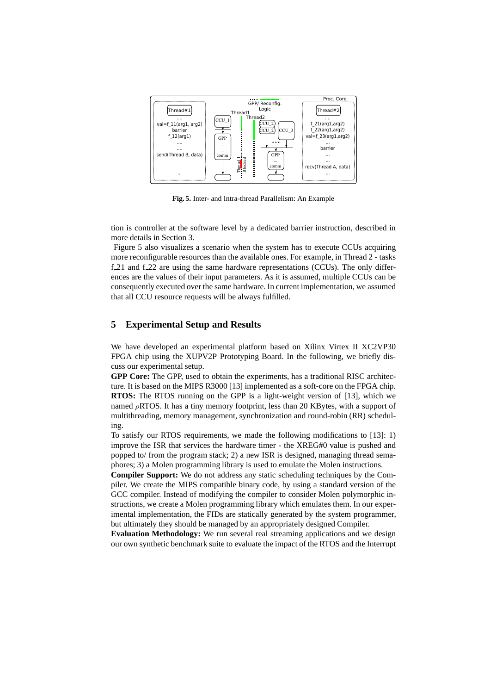

**Fig. 5.** Inter- and Intra-thread Parallelism: An Example

tion is controller at the software level by a dedicated barrier instruction, described in more details in Section 3.

Figure 5 also visualizes a scenario when the system has to execute CCUs acquiring more reconfigurable resources than the available ones. For example, in Thread 2 - tasks  $f_{21}$  and  $f_{22}$  are using the same hardware representations (CCUs). The only differences are the values of their input parameters. As it is assumed, multiple CCUs can be consequently executed over the same hardware. In current implementation, we assumed that all CCU resource requests will be always fulfilled.

# **5 Experimental Setup and Results**

We have developed an experimental platform based on Xilinx Virtex II XC2VP30 FPGA chip using the XUPV2P Prototyping Board. In the following, we briefly discuss our experimental setup.

**GPP Core:** The GPP, used to obtain the experiments, has a traditional RISC architecture. It is based on the MIPS R3000 [13] implemented as a soft-core on the FPGA chip. **RTOS:** The RTOS running on the GPP is a light-weight version of [13], which we named  $\rho$ RTOS. It has a tiny memory footprint, less than 20 KBytes, with a support of multithreading, memory management, synchronization and round-robin (RR) scheduling.

To satisfy our RTOS requirements, we made the following modifications to [13]: 1) improve the ISR that services the hardware timer - the XREG#0 value is pushed and popped to/ from the program stack; 2) a new ISR is designed, managing thread semaphores; 3) a Molen programming library is used to emulate the Molen instructions.

**Compiler Support:** We do not address any static scheduling techniques by the Compiler. We create the MIPS compatible binary code, by using a standard version of the GCC compiler. Instead of modifying the compiler to consider Molen polymorphic instructions, we create a Molen programming library which emulates them. In our experimental implementation, the FIDs are statically generated by the system programmer, but ultimately they should be managed by an appropriately designed Compiler.

**Evaluation Methodology:** We run several real streaming applications and we design our own synthetic benchmark suite to evaluate the impact of the RTOS and the Interrupt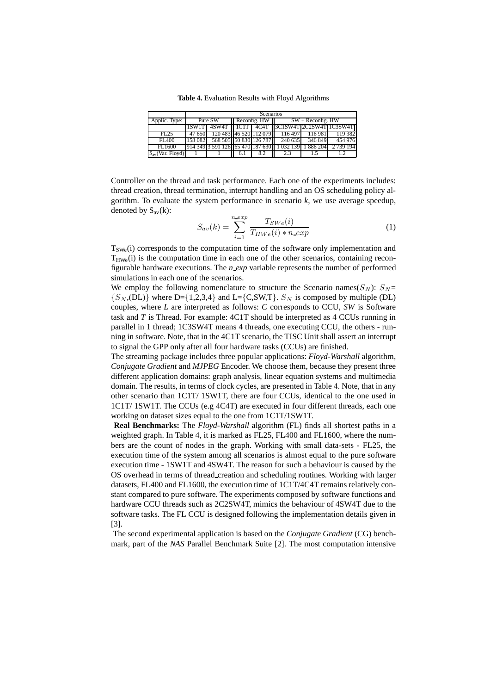**Table 4.** Evaluation Results with Floyd Algorithms

|               | <b>Scenarios</b> |                        |                                            |  |                                                        |        |                                                   |  |  |
|---------------|------------------|------------------------|--------------------------------------------|--|--------------------------------------------------------|--------|---------------------------------------------------|--|--|
| Applic. Type: | Pure SW          |                        | $\blacksquare$ Reconfig. HW $\blacksquare$ |  | $SW + Reconfig. HW$                                    |        |                                                   |  |  |
|               | 1SW1T            |                        |                                            |  |                                                        |        | 4SW4T   1C1T   4C4T   3C1SW4T   2C2SW4T   1C3SW4T |  |  |
| FL25          | 47 650           | 120 483 46 520 112 079 |                                            |  | 116 497                                                | 116981 | 119 382                                           |  |  |
| FL400         | 158 0821         |                        |                                            |  | 568 505 50 830 126 787 240 635 346 849                 |        | 454 976                                           |  |  |
| FL1600        |                  |                        |                                            |  | 914 349 3 591 126 65 470 187 630 1 032 139 1 886 204 1 |        | 2 739 194                                         |  |  |
| .(Var. Flovd` |                  |                        |                                            |  |                                                        |        |                                                   |  |  |

Controller on the thread and task performance. Each one of the experiments includes: thread creation, thread termination, interrupt handling and an OS scheduling policy algorithm. To evaluate the system performance in scenario *k*, we use average speedup, denoted by  $S_{av}(k)$ :

$$
S_{av}(k) = \sum_{i=1}^{n \text{ } exp} \frac{T_{SWe}(i)}{T_{HWe}(i) * n \text{ } exp}
$$
 (1)

 $T<sub>SWe</sub>(i)$  corresponds to the computation time of the software only implementation and  $T_{HWe}(i)$  is the computation time in each one of the other scenarios, containing reconfigurable hardware executions. The *n exp* variable represents the number of performed simulations in each one of the scenarios.

We employ the following nomenclature to structure the Scenario names( $S_N$ ):  $S_N$  =  $\{S_N, (DL)\}\$  where D= $\{1,2,3,4\}$  and L= $\{C, SW, T\}$ .  $S_N$  is composed by multiple (DL) couples, where *L* are interpreted as follows: *C* corresponds to CCU, *SW* is Software task and *T* is Thread. For example: 4C1T should be interpreted as 4 CCUs running in parallel in 1 thread; 1C3SW4T means 4 threads, one executing CCU, the others - running in software. Note, that in the 4C1T scenario, the TISC Unit shall assert an interrupt to signal the GPP only after all four hardware tasks (CCUs) are finished.

The streaming package includes three popular applications: *Floyd-Warshall* algorithm, *Conjugate Gradient* and *MJPEG* Encoder. We choose them, because they present three different application domains: graph analysis, linear equation systems and multimedia domain. The results, in terms of clock cycles, are presented in Table 4. Note, that in any other scenario than 1C1T/ 1SW1T, there are four CCUs, identical to the one used in 1C1T/ 1SW1T. The CCUs (e.g 4C4T) are executed in four different threads, each one working on dataset sizes equal to the one from 1C1T/1SW1T.

**Real Benchmarks:** The *Floyd-Warshall* algorithm (FL) finds all shortest paths in a weighted graph. In Table 4, it is marked as FL25, FL400 and FL1600, where the numbers are the count of nodes in the graph. Working with small data-sets - FL25, the execution time of the system among all scenarios is almost equal to the pure software execution time - 1SW1T and 4SW4T. The reason for such a behaviour is caused by the OS overhead in terms of thread creation and scheduling routines. Working with larger datasets, FL400 and FL1600, the execution time of 1C1T/4C4T remains relatively constant compared to pure software. The experiments composed by software functions and hardware CCU threads such as 2C2SW4T, mimics the behaviour of 4SW4T due to the software tasks. The FL CCU is designed following the implementation details given in [3].

The second experimental application is based on the *Conjugate Gradient* (CG) benchmark, part of the *NAS* Parallel Benchmark Suite [2]. The most computation intensive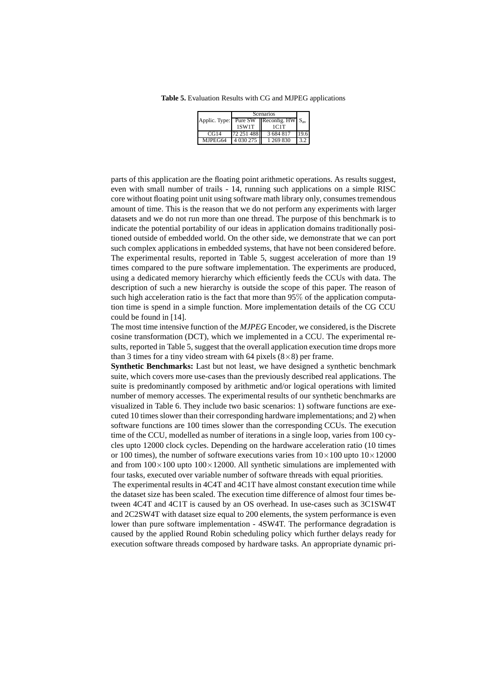**Table 5.** Evaluation Results with CG and MJPEG applications

|         | Scenarios   |                                                |                 |
|---------|-------------|------------------------------------------------|-----------------|
|         |             | Applic. Type: Pure SW Reconfig. $HW \, S_{av}$ |                 |
|         | 1SW1T       | 1C1T                                           |                 |
| CG14    | 72 25 1 488 | 3 684 817                                      | <sup>19.6</sup> |
| MJPEG64 | 14030275    | 1 269 830                                      | 3.2             |

parts of this application are the floating point arithmetic operations. As results suggest, even with small number of trails - 14, running such applications on a simple RISC core without floating point unit using software math library only, consumes tremendous amount of time. This is the reason that we do not perform any experiments with larger datasets and we do not run more than one thread. The purpose of this benchmark is to indicate the potential portability of our ideas in application domains traditionally positioned outside of embedded world. On the other side, we demonstrate that we can port such complex applications in embedded systems, that have not been considered before. The experimental results, reported in Table 5, suggest acceleration of more than 19 times compared to the pure software implementation. The experiments are produced, using a dedicated memory hierarchy which efficiently feeds the CCUs with data. The description of such a new hierarchy is outside the scope of this paper. The reason of such high acceleration ratio is the fact that more than 95% of the application computation time is spend in a simple function. More implementation details of the CG CCU could be found in [14].

The most time intensive function of the *MJPEG* Encoder, we considered, is the Discrete cosine transformation (DCT), which we implemented in a CCU. The experimental results, reported in Table 5, suggest that the overall application execution time drops more than 3 times for a tiny video stream with 64 pixels  $(8\times8)$  per frame.

**Synthetic Benchmarks:** Last but not least, we have designed a synthetic benchmark suite, which covers more use-cases than the previously described real applications. The suite is predominantly composed by arithmetic and/or logical operations with limited number of memory accesses. The experimental results of our synthetic benchmarks are visualized in Table 6. They include two basic scenarios: 1) software functions are executed 10 times slower than their corresponding hardware implementations; and 2) when software functions are 100 times slower than the corresponding CCUs. The execution time of the CCU, modelled as number of iterations in a single loop, varies from 100 cycles upto 12000 clock cycles. Depending on the hardware acceleration ratio (10 times or 100 times), the number of software executions varies from  $10 \times 100$  upto  $10 \times 12000$ and from  $100\times100$  upto  $100\times12000$ . All synthetic simulations are implemented with four tasks, executed over variable number of software threads with equal priorities.

The experimental results in 4C4T and 4C1T have almost constant execution time while the dataset size has been scaled. The execution time difference of almost four times between 4C4T and 4C1T is caused by an OS overhead. In use-cases such as 3C1SW4T and 2C2SW4T with dataset size equal to 200 elements, the system performance is even lower than pure software implementation - 4SW4T. The performance degradation is caused by the applied Round Robin scheduling policy which further delays ready for execution software threads composed by hardware tasks. An appropriate dynamic pri-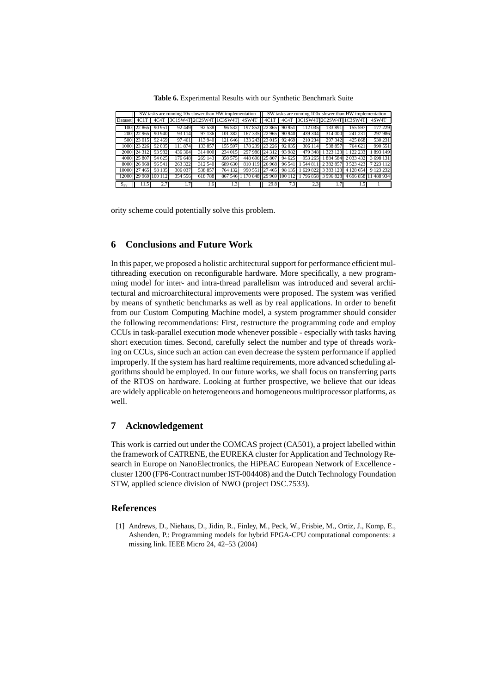**Table 6.** Experimental Results with our Synthetic Benchmark Suite

|              | SW tasks are running 10x slower than HW implementation |                      |                         |         |         |                                  | SW tasks are running 100x slower than HW implementation |        |         |               |                         |                                      |
|--------------|--------------------------------------------------------|----------------------|-------------------------|---------|---------|----------------------------------|---------------------------------------------------------|--------|---------|---------------|-------------------------|--------------------------------------|
| Dataset 4C1T |                                                        | 4C4T                 | 3C1SW4T 2C2SW4T 1C3SW4T |         |         | 4SW4T 14C1T                      |                                                         | 4C4T   |         |               | 3C1SW4T 2C2SW4T 1C3SW4T | 4SW4T                                |
|              | 100 22 865                                             | 90 951               | 92 449                  | 92 538  | 96 532  | 197 852 22 865                   |                                                         | 90 951 | 112035  | 133 891       | 155 597                 | 177 229                              |
|              | 200 22 965                                             | 90 940               | 93 114                  | 97 136  | 101 382 | 167 335 22 965                   |                                                         | 90 940 | 439 304 | 314 000       | 241 231                 | 297986                               |
|              | 500 23 015                                             | 92 469               | 97461                   | 113 940 | 121 646 | 133 243 23 015                   |                                                         | 92469  | 210 234 | 297 342       | 425 868                 | 530 231                              |
|              | 1000 23 226                                            | 92 035               | 111 874                 | 133 857 | 155 597 | 178 239 23 226                   |                                                         | 92 035 | 306 114 | 538 857       | 764 621                 | 990 551                              |
|              | 2000 24 312                                            | 93 982               | 436 304                 | 314 000 | 234 015 | 297 986 24 312                   |                                                         | 93 982 | 479 348 | 323 123       | 1 122 233               | 893 149                              |
|              | 4000 25 807                                            | 94 625               | 176 648                 | 269 143 | 358 575 | 448 696 25 807                   |                                                         | 94 625 | 953 265 | 884 584       | 2 0 3 4 3 2             | 3 698 131                            |
|              | 8000 26 968                                            | 96 541               | 263 322                 | 312 540 | 689 630 | 810 119 26 968                   |                                                         | 96 541 | 544 811 | 2 3 8 2 8 5 7 | 3 5 2 3 4 2 3           | 7 2 2 3 1 1 2                        |
|              | 10000 27465                                            | 98 135               | 306 037                 | 538 857 | 764 132 | 990 551 27 465                   |                                                         | 98 135 | 629 822 | 3 3 8 3 1 2 3 | 4 128 654               | 9 123 232                            |
|              |                                                        | 12000 29 969 100 112 | 354 556                 | 618788  |         | 867 546 1 170 848 29 969 100 112 |                                                         |        |         |               |                         | 1796 858 3996 828 4696 858 11488 934 |
| $S_{av}$     | 11.5                                                   | 2.7                  | 1.7                     | 1.61    | 1.3     |                                  | 29.8                                                    | 7.3    | 2.3     |               | . . 5                   |                                      |

ority scheme could potentially solve this problem.

## **6 Conclusions and Future Work**

In this paper, we proposed a holistic architectural support for performance efficient multithreading execution on reconfigurable hardware. More specifically, a new programming model for inter- and intra-thread parallelism was introduced and several architectural and microarchitectural improvements were proposed. The system was verified by means of synthetic benchmarks as well as by real applications. In order to benefit from our Custom Computing Machine model, a system programmer should consider the following recommendations: First, restructure the programming code and employ CCUs in task-parallel execution mode whenever possible - especially with tasks having short execution times. Second, carefully select the number and type of threads working on CCUs, since such an action can even decrease the system performance if applied improperly. If the system has hard realtime requirements, more advanced scheduling algorithms should be employed. In our future works, we shall focus on transferring parts of the RTOS on hardware. Looking at further prospective, we believe that our ideas are widely applicable on heterogeneous and homogeneous multiprocessor platforms, as well.

## **7 Acknowledgement**

This work is carried out under the COMCAS project (CA501), a project labelled within the framework of CATRENE, the EUREKA cluster for Application and Technology Research in Europe on NanoElectronics, the HiPEAC European Network of Excellence cluster 1200 (FP6-Contract number IST-004408) and the Dutch Technology Foundation STW, applied science division of NWO (project DSC.7533).

#### **References**

[1] Andrews, D., Niehaus, D., Jidin, R., Finley, M., Peck, W., Frisbie, M., Ortiz, J., Komp, E., Ashenden, P.: Programming models for hybrid FPGA-CPU computational components: a missing link. IEEE Micro 24, 42–53 (2004)